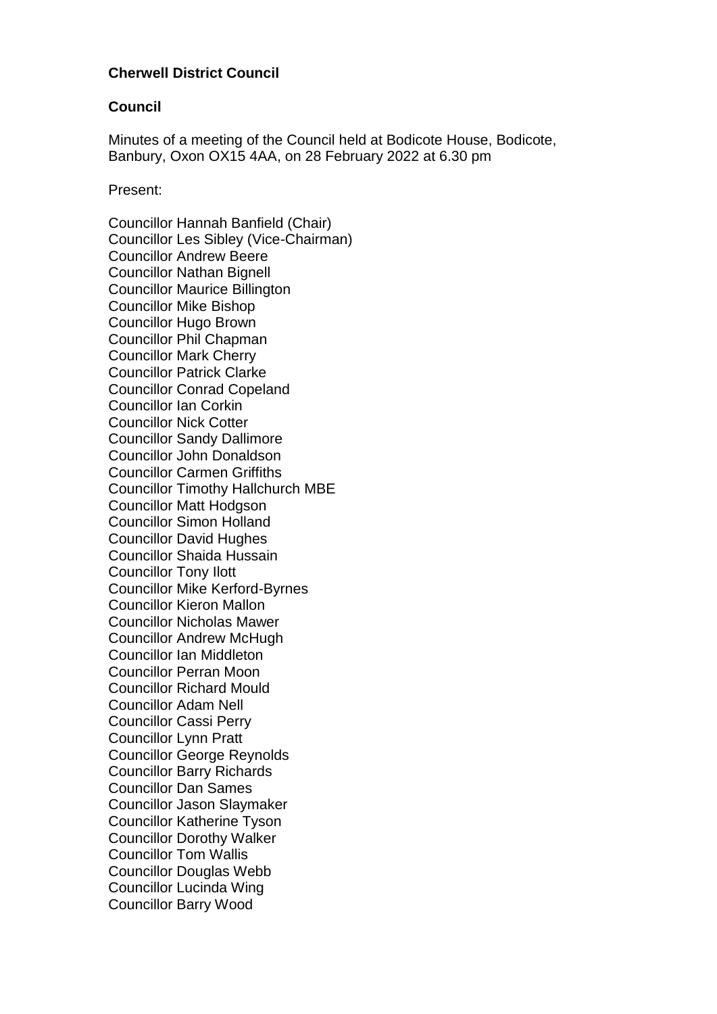## **Cherwell District Council**

#### **Council**

Minutes of a meeting of the Council held at Bodicote House, Bodicote, Banbury, Oxon OX15 4AA, on 28 February 2022 at 6.30 pm

Present:

Councillor Hannah Banfield (Chair) Councillor Les Sibley (Vice-Chairman) Councillor Andrew Beere Councillor Nathan Bignell Councillor Maurice Billington Councillor Mike Bishop Councillor Hugo Brown Councillor Phil Chapman Councillor Mark Cherry Councillor Patrick Clarke Councillor Conrad Copeland Councillor Ian Corkin Councillor Nick Cotter Councillor Sandy Dallimore Councillor John Donaldson Councillor Carmen Griffiths Councillor Timothy Hallchurch MBE Councillor Matt Hodgson Councillor Simon Holland Councillor David Hughes Councillor Shaida Hussain Councillor Tony Ilott Councillor Mike Kerford-Byrnes Councillor Kieron Mallon Councillor Nicholas Mawer Councillor Andrew McHugh Councillor Ian Middleton Councillor Perran Moon Councillor Richard Mould Councillor Adam Nell Councillor Cassi Perry Councillor Lynn Pratt Councillor George Reynolds Councillor Barry Richards Councillor Dan Sames Councillor Jason Slaymaker Councillor Katherine Tyson Councillor Dorothy Walker Councillor Tom Wallis Councillor Douglas Webb Councillor Lucinda Wing Councillor Barry Wood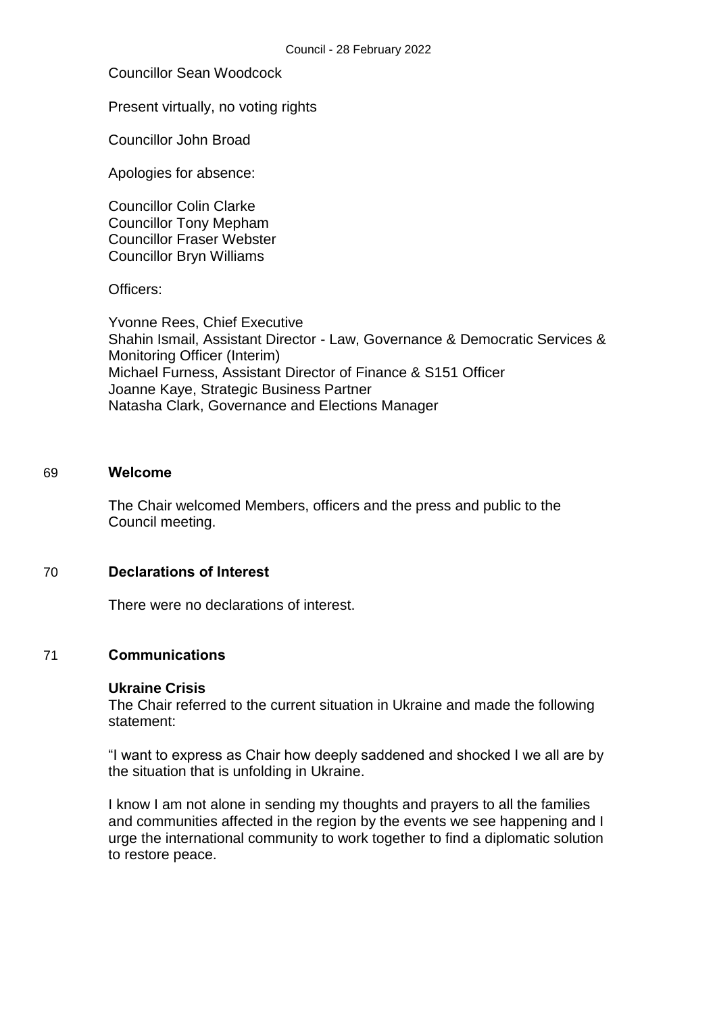# Councillor Sean Woodcock

### Present virtually, no voting rights

Councillor John Broad

Apologies for absence:

Councillor Colin Clarke Councillor Tony Mepham Councillor Fraser Webster Councillor Bryn Williams

Officers:

Yvonne Rees, Chief Executive Shahin Ismail, Assistant Director - Law, Governance & Democratic Services & Monitoring Officer (Interim) Michael Furness, Assistant Director of Finance & S151 Officer Joanne Kaye, Strategic Business Partner Natasha Clark, Governance and Elections Manager

## 69 **Welcome**

The Chair welcomed Members, officers and the press and public to the Council meeting.

## 70 **Declarations of Interest**

There were no declarations of interest.

# 71 **Communications**

#### **Ukraine Crisis**

The Chair referred to the current situation in Ukraine and made the following statement:

"I want to express as Chair how deeply saddened and shocked I we all are by the situation that is unfolding in Ukraine.

I know I am not alone in sending my thoughts and prayers to all the families and communities affected in the region by the events we see happening and I urge the international community to work together to find a diplomatic solution to restore peace.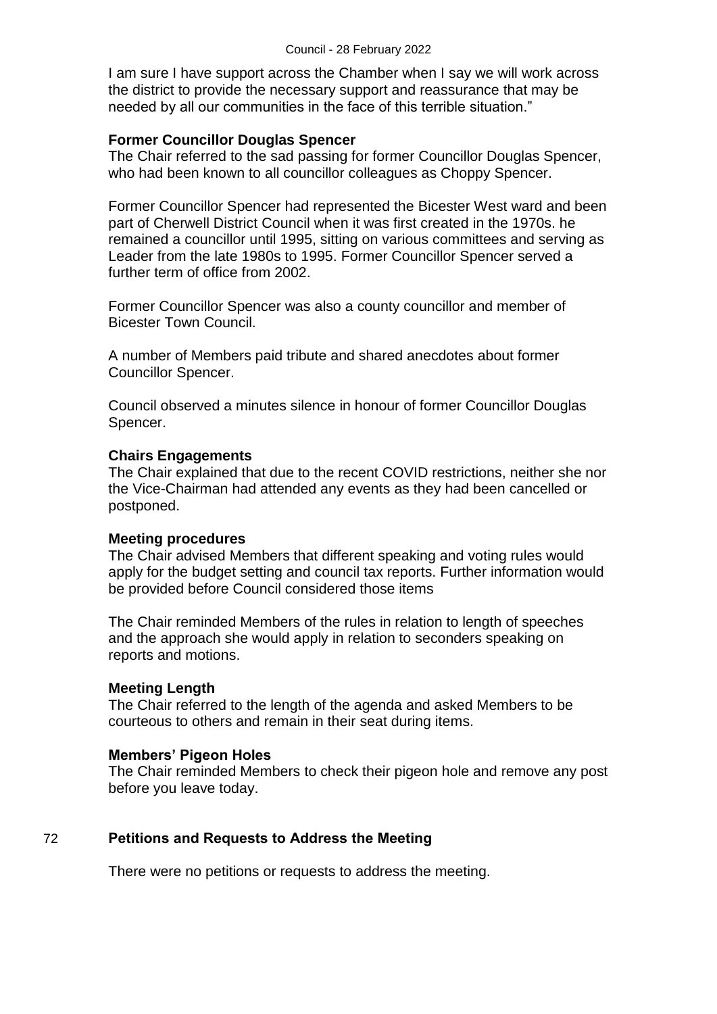I am sure I have support across the Chamber when I say we will work across the district to provide the necessary support and reassurance that may be needed by all our communities in the face of this terrible situation."

#### **Former Councillor Douglas Spencer**

The Chair referred to the sad passing for former Councillor Douglas Spencer, who had been known to all councillor colleagues as Choppy Spencer.

Former Councillor Spencer had represented the Bicester West ward and been part of Cherwell District Council when it was first created in the 1970s. he remained a councillor until 1995, sitting on various committees and serving as Leader from the late 1980s to 1995. Former Councillor Spencer served a further term of office from 2002.

Former Councillor Spencer was also a county councillor and member of Bicester Town Council.

A number of Members paid tribute and shared anecdotes about former Councillor Spencer.

Council observed a minutes silence in honour of former Councillor Douglas Spencer.

#### **Chairs Engagements**

The Chair explained that due to the recent COVID restrictions, neither she nor the Vice-Chairman had attended any events as they had been cancelled or postponed.

#### **Meeting procedures**

The Chair advised Members that different speaking and voting rules would apply for the budget setting and council tax reports. Further information would be provided before Council considered those items

The Chair reminded Members of the rules in relation to length of speeches and the approach she would apply in relation to seconders speaking on reports and motions.

#### **Meeting Length**

The Chair referred to the length of the agenda and asked Members to be courteous to others and remain in their seat during items.

## **Members' Pigeon Holes**

The Chair reminded Members to check their pigeon hole and remove any post before you leave today.

## 72 **Petitions and Requests to Address the Meeting**

There were no petitions or requests to address the meeting.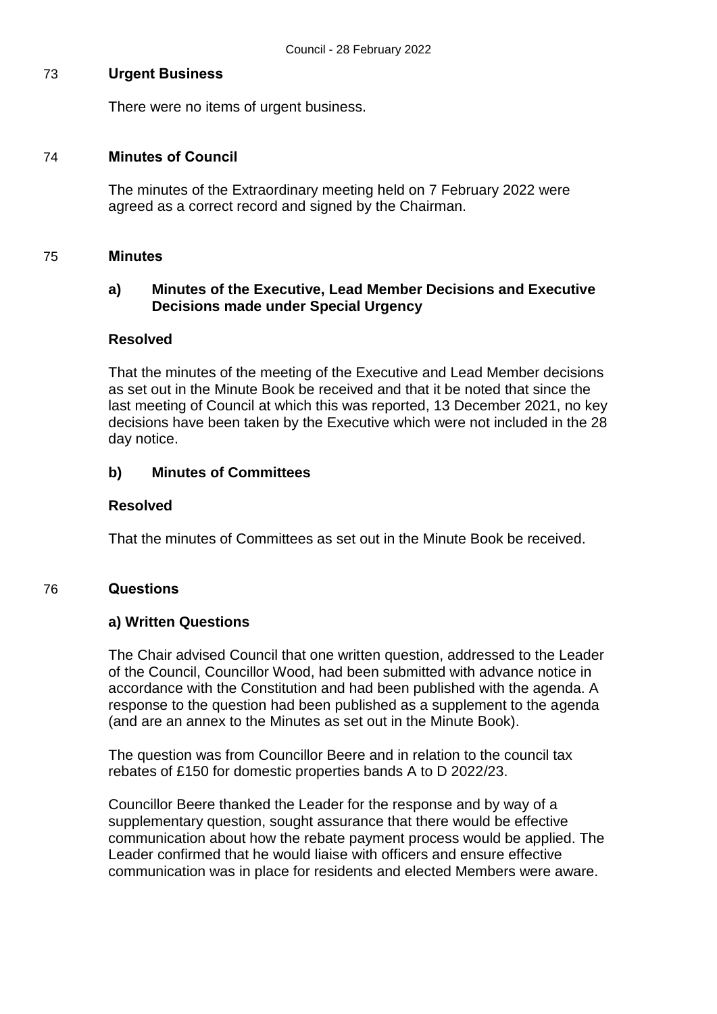#### 73 **Urgent Business**

There were no items of urgent business.

#### 74 **Minutes of Council**

The minutes of the Extraordinary meeting held on 7 February 2022 were agreed as a correct record and signed by the Chairman.

#### 75 **Minutes**

## **a) Minutes of the Executive, Lead Member Decisions and Executive Decisions made under Special Urgency**

#### **Resolved**

That the minutes of the meeting of the Executive and Lead Member decisions as set out in the Minute Book be received and that it be noted that since the last meeting of Council at which this was reported, 13 December 2021, no key decisions have been taken by the Executive which were not included in the 28 day notice.

## **b) Minutes of Committees**

#### **Resolved**

That the minutes of Committees as set out in the Minute Book be received.

#### 76 **Questions**

## **a) Written Questions**

The Chair advised Council that one written question, addressed to the Leader of the Council, Councillor Wood, had been submitted with advance notice in accordance with the Constitution and had been published with the agenda. A response to the question had been published as a supplement to the agenda (and are an annex to the Minutes as set out in the Minute Book).

The question was from Councillor Beere and in relation to the council tax rebates of £150 for domestic properties bands A to D 2022/23.

Councillor Beere thanked the Leader for the response and by way of a supplementary question, sought assurance that there would be effective communication about how the rebate payment process would be applied. The Leader confirmed that he would liaise with officers and ensure effective communication was in place for residents and elected Members were aware.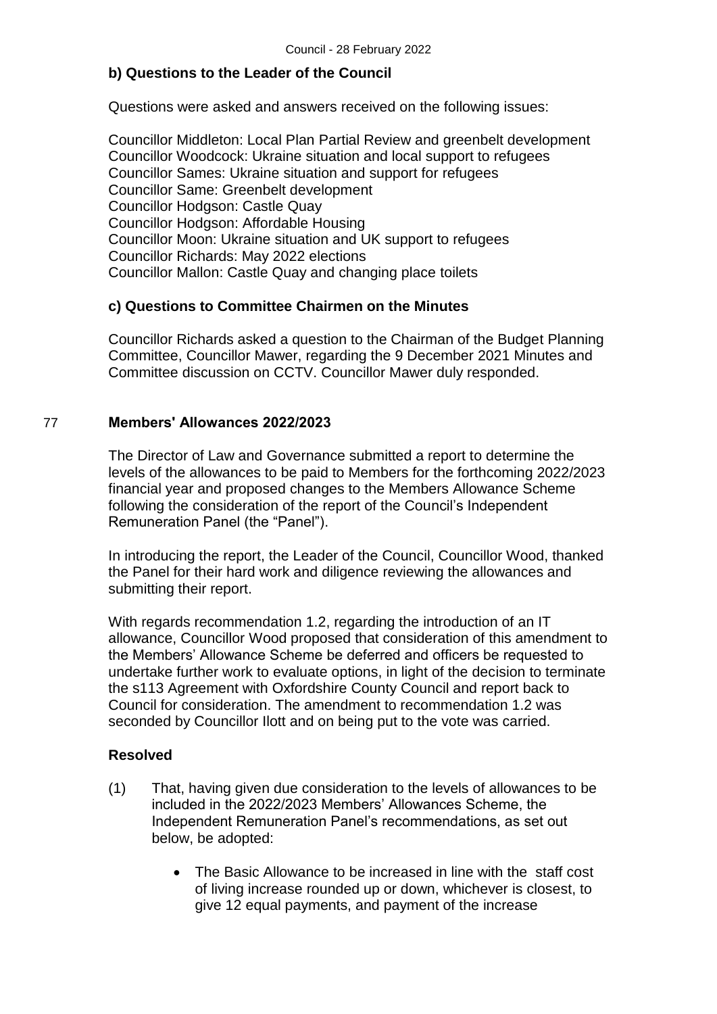# **b) Questions to the Leader of the Council**

Questions were asked and answers received on the following issues:

Councillor Middleton: Local Plan Partial Review and greenbelt development Councillor Woodcock: Ukraine situation and local support to refugees Councillor Sames: Ukraine situation and support for refugees Councillor Same: Greenbelt development Councillor Hodgson: Castle Quay Councillor Hodgson: Affordable Housing Councillor Moon: Ukraine situation and UK support to refugees Councillor Richards: May 2022 elections Councillor Mallon: Castle Quay and changing place toilets

## **c) Questions to Committee Chairmen on the Minutes**

Councillor Richards asked a question to the Chairman of the Budget Planning Committee, Councillor Mawer, regarding the 9 December 2021 Minutes and Committee discussion on CCTV. Councillor Mawer duly responded.

## 77 **Members' Allowances 2022/2023**

The Director of Law and Governance submitted a report to determine the levels of the allowances to be paid to Members for the forthcoming 2022/2023 financial year and proposed changes to the Members Allowance Scheme following the consideration of the report of the Council's Independent Remuneration Panel (the "Panel").

In introducing the report, the Leader of the Council, Councillor Wood, thanked the Panel for their hard work and diligence reviewing the allowances and submitting their report.

With regards recommendation 1.2, regarding the introduction of an IT allowance, Councillor Wood proposed that consideration of this amendment to the Members' Allowance Scheme be deferred and officers be requested to undertake further work to evaluate options, in light of the decision to terminate the s113 Agreement with Oxfordshire County Council and report back to Council for consideration. The amendment to recommendation 1.2 was seconded by Councillor Ilott and on being put to the vote was carried.

- (1) That, having given due consideration to the levels of allowances to be included in the 2022/2023 Members' Allowances Scheme, the Independent Remuneration Panel's recommendations, as set out below, be adopted:
	- The Basic Allowance to be increased in line with the staff cost of living increase rounded up or down, whichever is closest, to give 12 equal payments, and payment of the increase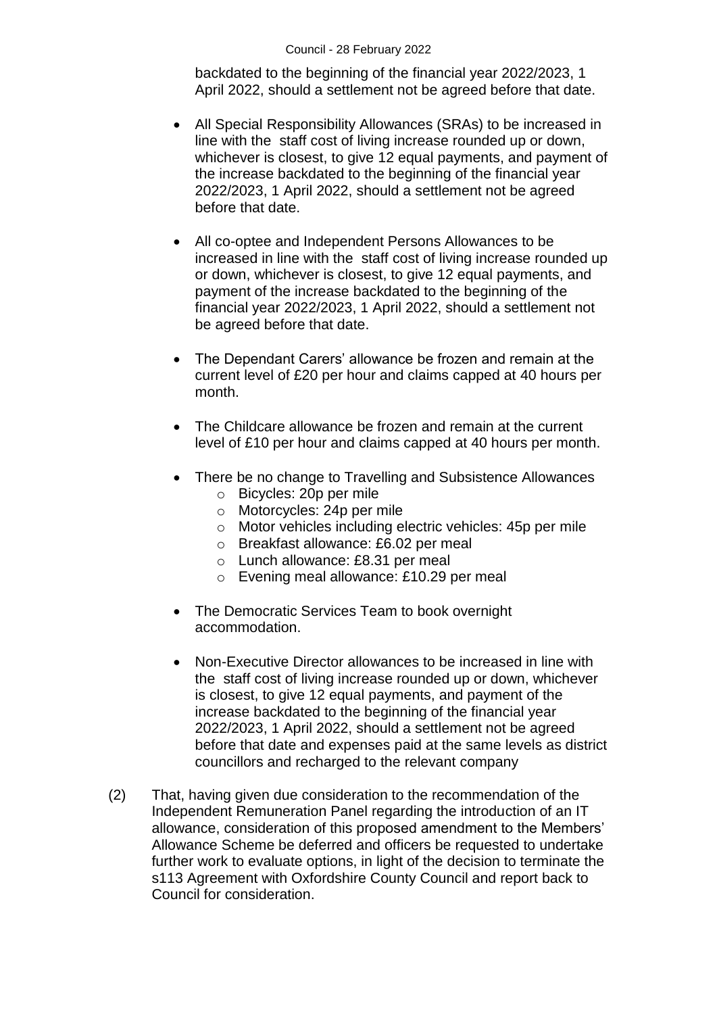backdated to the beginning of the financial year 2022/2023, 1 April 2022, should a settlement not be agreed before that date.

- All Special Responsibility Allowances (SRAs) to be increased in line with the staff cost of living increase rounded up or down, whichever is closest, to give 12 equal payments, and payment of the increase backdated to the beginning of the financial year 2022/2023, 1 April 2022, should a settlement not be agreed before that date.
- All co-optee and Independent Persons Allowances to be increased in line with the staff cost of living increase rounded up or down, whichever is closest, to give 12 equal payments, and payment of the increase backdated to the beginning of the financial year 2022/2023, 1 April 2022, should a settlement not be agreed before that date.
- The Dependant Carers' allowance be frozen and remain at the current level of £20 per hour and claims capped at 40 hours per month.
- The Childcare allowance be frozen and remain at the current level of £10 per hour and claims capped at 40 hours per month.
- There be no change to Travelling and Subsistence Allowances
	- o Bicycles: 20p per mile
	- o Motorcycles: 24p per mile
	- o Motor vehicles including electric vehicles: 45p per mile
	- o Breakfast allowance: £6.02 per meal
	- o Lunch allowance: £8.31 per meal
	- o Evening meal allowance: £10.29 per meal
- The Democratic Services Team to book overnight accommodation.
- Non-Executive Director allowances to be increased in line with the staff cost of living increase rounded up or down, whichever is closest, to give 12 equal payments, and payment of the increase backdated to the beginning of the financial year 2022/2023, 1 April 2022, should a settlement not be agreed before that date and expenses paid at the same levels as district councillors and recharged to the relevant company
- (2) That, having given due consideration to the recommendation of the Independent Remuneration Panel regarding the introduction of an IT allowance, consideration of this proposed amendment to the Members' Allowance Scheme be deferred and officers be requested to undertake further work to evaluate options, in light of the decision to terminate the s113 Agreement with Oxfordshire County Council and report back to Council for consideration.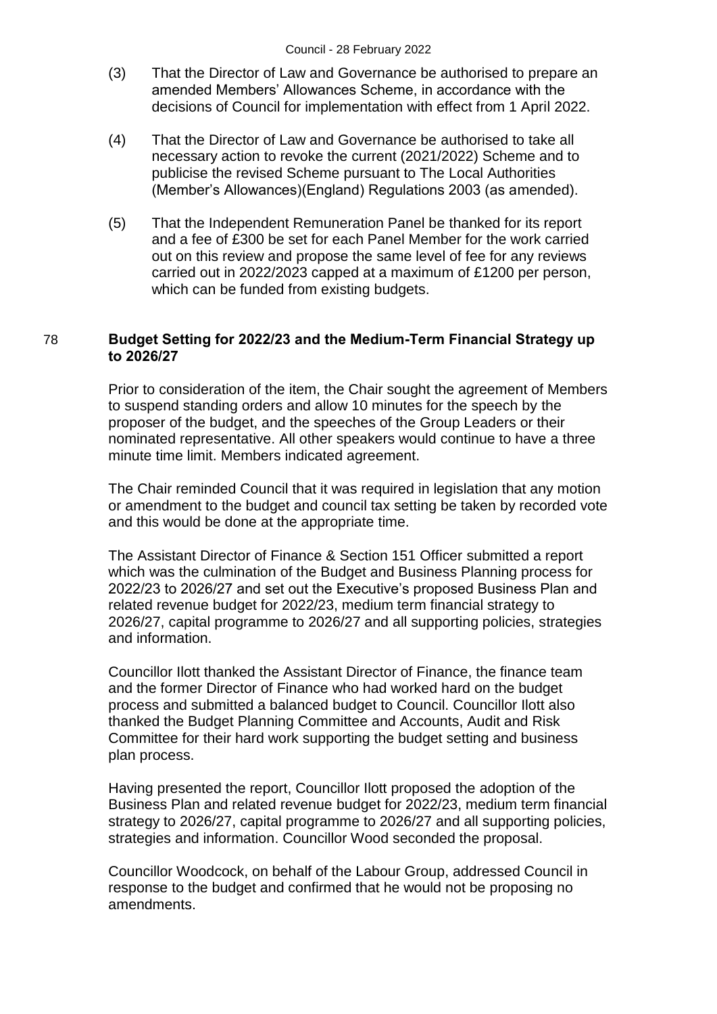- (3) That the Director of Law and Governance be authorised to prepare an amended Members' Allowances Scheme, in accordance with the decisions of Council for implementation with effect from 1 April 2022.
- (4) That the Director of Law and Governance be authorised to take all necessary action to revoke the current (2021/2022) Scheme and to publicise the revised Scheme pursuant to The Local Authorities (Member's Allowances)(England) Regulations 2003 (as amended).
- (5) That the Independent Remuneration Panel be thanked for its report and a fee of £300 be set for each Panel Member for the work carried out on this review and propose the same level of fee for any reviews carried out in 2022/2023 capped at a maximum of £1200 per person, which can be funded from existing budgets.

## 78 **Budget Setting for 2022/23 and the Medium-Term Financial Strategy up to 2026/27**

Prior to consideration of the item, the Chair sought the agreement of Members to suspend standing orders and allow 10 minutes for the speech by the proposer of the budget, and the speeches of the Group Leaders or their nominated representative. All other speakers would continue to have a three minute time limit. Members indicated agreement.

The Chair reminded Council that it was required in legislation that any motion or amendment to the budget and council tax setting be taken by recorded vote and this would be done at the appropriate time.

The Assistant Director of Finance & Section 151 Officer submitted a report which was the culmination of the Budget and Business Planning process for 2022/23 to 2026/27 and set out the Executive's proposed Business Plan and related revenue budget for 2022/23, medium term financial strategy to 2026/27, capital programme to 2026/27 and all supporting policies, strategies and information.

Councillor Ilott thanked the Assistant Director of Finance, the finance team and the former Director of Finance who had worked hard on the budget process and submitted a balanced budget to Council. Councillor Ilott also thanked the Budget Planning Committee and Accounts, Audit and Risk Committee for their hard work supporting the budget setting and business plan process.

Having presented the report, Councillor Ilott proposed the adoption of the Business Plan and related revenue budget for 2022/23, medium term financial strategy to 2026/27, capital programme to 2026/27 and all supporting policies, strategies and information. Councillor Wood seconded the proposal.

Councillor Woodcock, on behalf of the Labour Group, addressed Council in response to the budget and confirmed that he would not be proposing no amendments.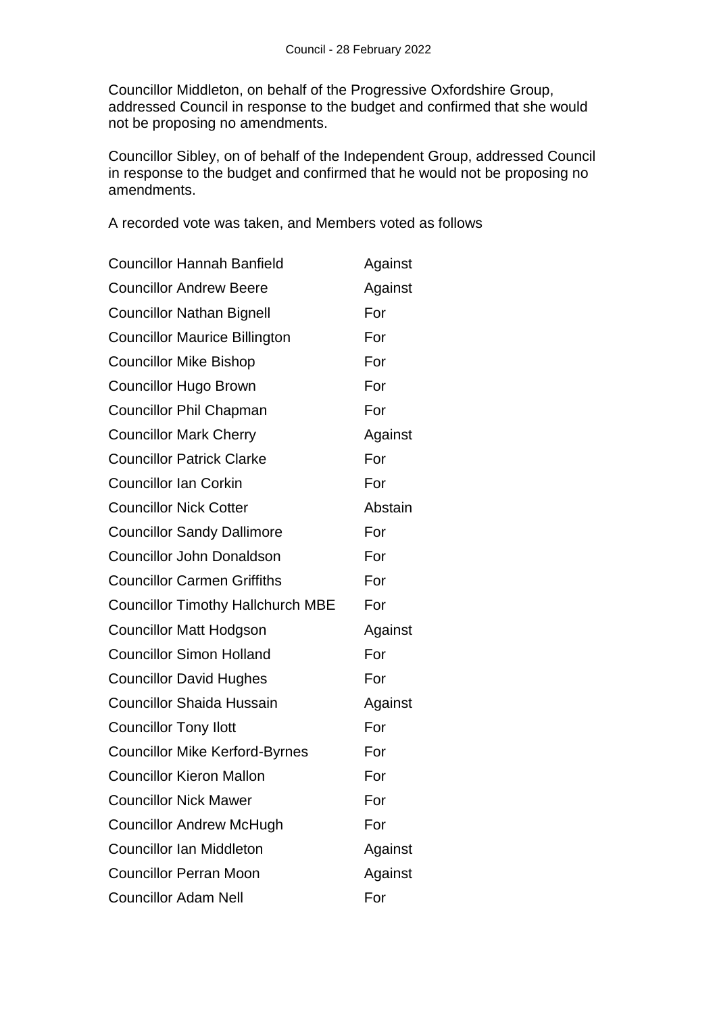Councillor Middleton, on behalf of the Progressive Oxfordshire Group, addressed Council in response to the budget and confirmed that she would not be proposing no amendments.

Councillor Sibley, on of behalf of the Independent Group, addressed Council in response to the budget and confirmed that he would not be proposing no amendments.

A recorded vote was taken, and Members voted as follows

| <b>Councillor Hannah Banfield</b>        | Against |
|------------------------------------------|---------|
| <b>Councillor Andrew Beere</b>           | Against |
| <b>Councillor Nathan Bignell</b>         | For     |
| <b>Councillor Maurice Billington</b>     | For     |
| <b>Councillor Mike Bishop</b>            | For     |
| <b>Councillor Hugo Brown</b>             | For     |
| <b>Councillor Phil Chapman</b>           | For     |
| <b>Councillor Mark Cherry</b>            | Against |
| <b>Councillor Patrick Clarke</b>         | For     |
| <b>Councillor Ian Corkin</b>             | For     |
| <b>Councillor Nick Cotter</b>            | Abstain |
| <b>Councillor Sandy Dallimore</b>        | For     |
| <b>Councillor John Donaldson</b>         | For     |
| <b>Councillor Carmen Griffiths</b>       | For     |
| <b>Councillor Timothy Hallchurch MBE</b> | For     |
| <b>Councillor Matt Hodgson</b>           | Against |
| <b>Councillor Simon Holland</b>          | For     |
| <b>Councillor David Hughes</b>           | For     |
| <b>Councillor Shaida Hussain</b>         | Against |
| <b>Councillor Tony Ilott</b>             | For     |
| <b>Councillor Mike Kerford-Byrnes</b>    | For     |
| <b>Councillor Kieron Mallon</b>          | For     |
| <b>Councillor Nick Mawer</b>             | For     |
| <b>Councillor Andrew McHugh</b>          | For     |
| <b>Councillor Ian Middleton</b>          | Against |
| <b>Councillor Perran Moon</b>            | Against |
| <b>Councillor Adam Nell</b>              | For     |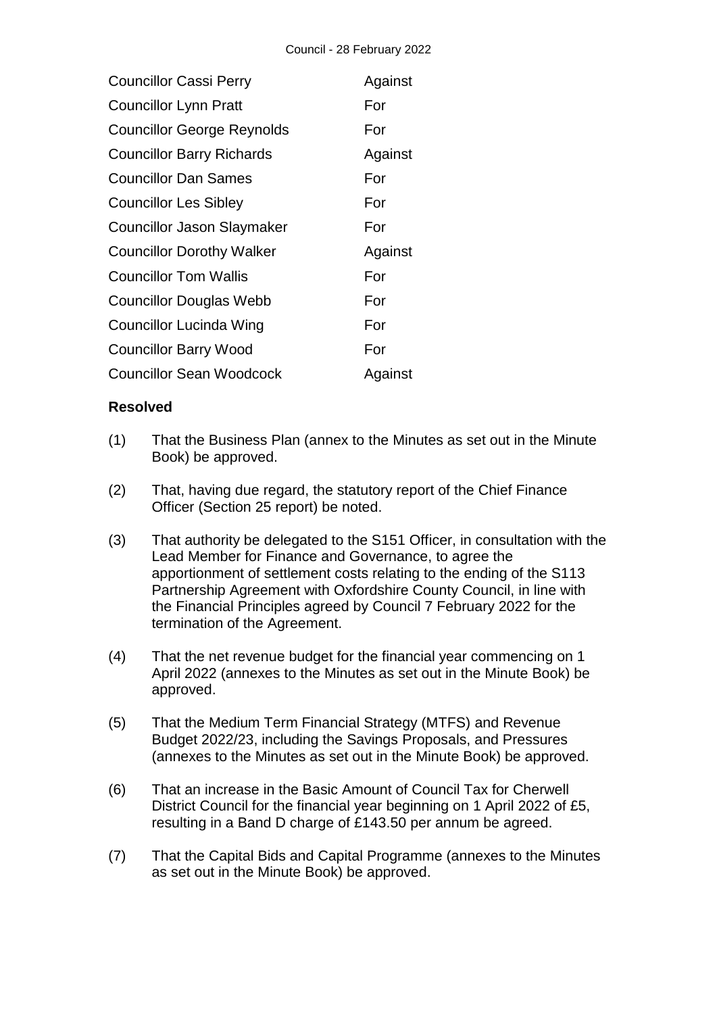| <b>Councillor Cassi Perry</b>     | Against |
|-----------------------------------|---------|
| <b>Councillor Lynn Pratt</b>      | For     |
| <b>Councillor George Reynolds</b> | For     |
| <b>Councillor Barry Richards</b>  | Against |
| <b>Councillor Dan Sames</b>       | For     |
| <b>Councillor Les Sibley</b>      | For     |
| <b>Councillor Jason Slaymaker</b> | For     |
| <b>Councillor Dorothy Walker</b>  | Against |
| Councillor Tom Wallis             | For     |
| <b>Councillor Douglas Webb</b>    | For     |
| <b>Councillor Lucinda Wing</b>    | For     |
| <b>Councillor Barry Wood</b>      | For     |
| <b>Councillor Sean Woodcock</b>   | Against |

- (1) That the Business Plan (annex to the Minutes as set out in the Minute Book) be approved.
- (2) That, having due regard, the statutory report of the Chief Finance Officer (Section 25 report) be noted.
- (3) That authority be delegated to the S151 Officer, in consultation with the Lead Member for Finance and Governance, to agree the apportionment of settlement costs relating to the ending of the S113 Partnership Agreement with Oxfordshire County Council, in line with the Financial Principles agreed by Council 7 February 2022 for the termination of the Agreement.
- (4) That the net revenue budget for the financial year commencing on 1 April 2022 (annexes to the Minutes as set out in the Minute Book) be approved.
- (5) That the Medium Term Financial Strategy (MTFS) and Revenue Budget 2022/23, including the Savings Proposals, and Pressures (annexes to the Minutes as set out in the Minute Book) be approved.
- (6) That an increase in the Basic Amount of Council Tax for Cherwell District Council for the financial year beginning on 1 April 2022 of £5, resulting in a Band D charge of £143.50 per annum be agreed.
- (7) That the Capital Bids and Capital Programme (annexes to the Minutes as set out in the Minute Book) be approved.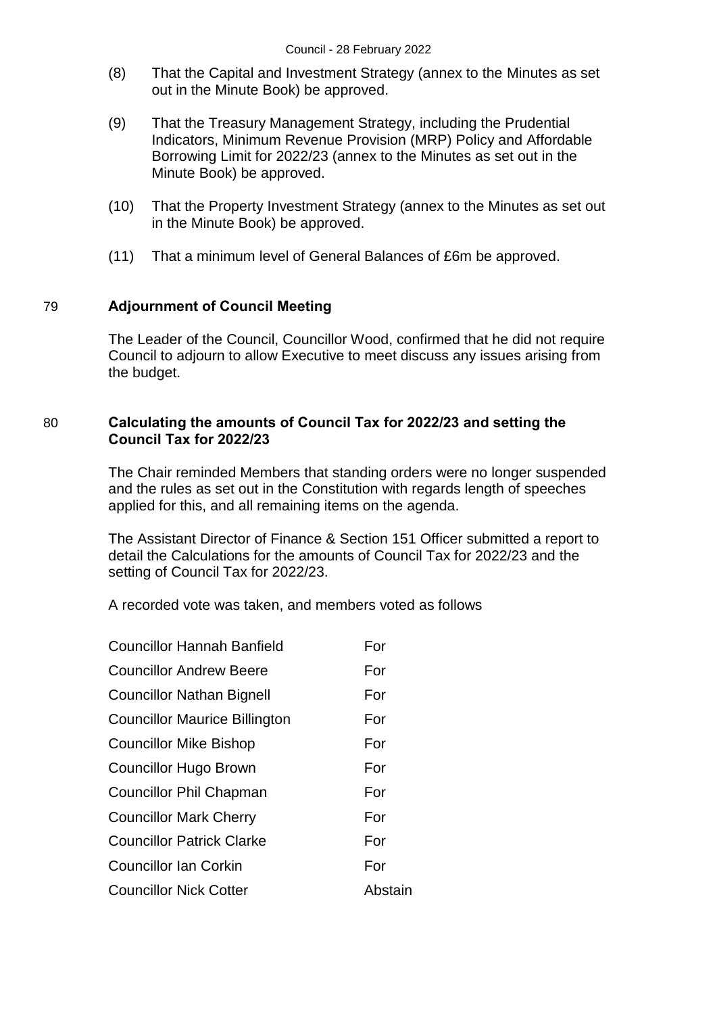- (8) That the Capital and Investment Strategy (annex to the Minutes as set out in the Minute Book) be approved.
- (9) That the Treasury Management Strategy, including the Prudential Indicators, Minimum Revenue Provision (MRP) Policy and Affordable Borrowing Limit for 2022/23 (annex to the Minutes as set out in the Minute Book) be approved.
- (10) That the Property Investment Strategy (annex to the Minutes as set out in the Minute Book) be approved.
- (11) That a minimum level of General Balances of £6m be approved.

# 79 **Adjournment of Council Meeting**

The Leader of the Council, Councillor Wood, confirmed that he did not require Council to adjourn to allow Executive to meet discuss any issues arising from the budget.

## 80 **Calculating the amounts of Council Tax for 2022/23 and setting the Council Tax for 2022/23**

The Chair reminded Members that standing orders were no longer suspended and the rules as set out in the Constitution with regards length of speeches applied for this, and all remaining items on the agenda.

The Assistant Director of Finance & Section 151 Officer submitted a report to detail the Calculations for the amounts of Council Tax for 2022/23 and the setting of Council Tax for 2022/23.

A recorded vote was taken, and members voted as follows

| <b>Councillor Hannah Banfield</b>    | For     |
|--------------------------------------|---------|
| <b>Councillor Andrew Beere</b>       | For     |
| <b>Councillor Nathan Bignell</b>     | For     |
| <b>Councillor Maurice Billington</b> | For     |
| <b>Councillor Mike Bishop</b>        | For     |
| <b>Councillor Hugo Brown</b>         | For     |
| <b>Councillor Phil Chapman</b>       | For     |
| <b>Councillor Mark Cherry</b>        | For     |
| <b>Councillor Patrick Clarke</b>     | For     |
| <b>Councillor Ian Corkin</b>         | For     |
| <b>Councillor Nick Cotter</b>        | Abstain |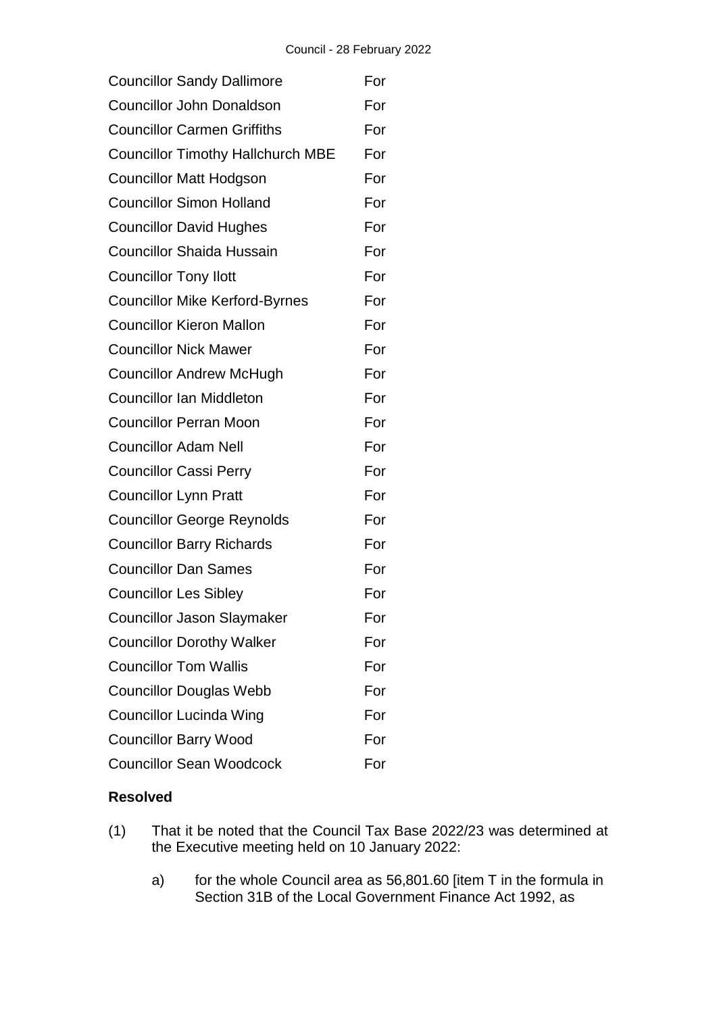| <b>Councillor Sandy Dallimore</b>        | For |
|------------------------------------------|-----|
| <b>Councillor John Donaldson</b>         | For |
| <b>Councillor Carmen Griffiths</b>       | For |
| <b>Councillor Timothy Hallchurch MBE</b> | For |
| <b>Councillor Matt Hodgson</b>           | For |
| <b>Councillor Simon Holland</b>          | For |
| <b>Councillor David Hughes</b>           | For |
| <b>Councillor Shaida Hussain</b>         | For |
| <b>Councillor Tony Ilott</b>             | For |
| <b>Councillor Mike Kerford-Byrnes</b>    | For |
| <b>Councillor Kieron Mallon</b>          | For |
| <b>Councillor Nick Mawer</b>             | For |
| <b>Councillor Andrew McHugh</b>          | For |
| <b>Councillor Ian Middleton</b>          | For |
| <b>Councillor Perran Moon</b>            | For |
| <b>Councillor Adam Nell</b>              | For |
| <b>Councillor Cassi Perry</b>            | For |
| <b>Councillor Lynn Pratt</b>             | For |
| <b>Councillor George Reynolds</b>        | For |
| <b>Councillor Barry Richards</b>         | For |
| <b>Councillor Dan Sames</b>              | For |
| <b>Councillor Les Sibley</b>             | For |
| <b>Councillor Jason Slaymaker</b>        | For |
| <b>Councillor Dorothy Walker</b>         | For |
| <b>Councillor Tom Wallis</b>             | For |
| <b>Councillor Douglas Webb</b>           | For |
| <b>Councillor Lucinda Wing</b>           | For |
| <b>Councillor Barry Wood</b>             | For |
| <b>Councillor Sean Woodcock</b>          | For |

- (1) That it be noted that the Council Tax Base 2022/23 was determined at the Executive meeting held on 10 January 2022:
	- a) for the whole Council area as 56,801.60 [item T in the formula in Section 31B of the Local Government Finance Act 1992, as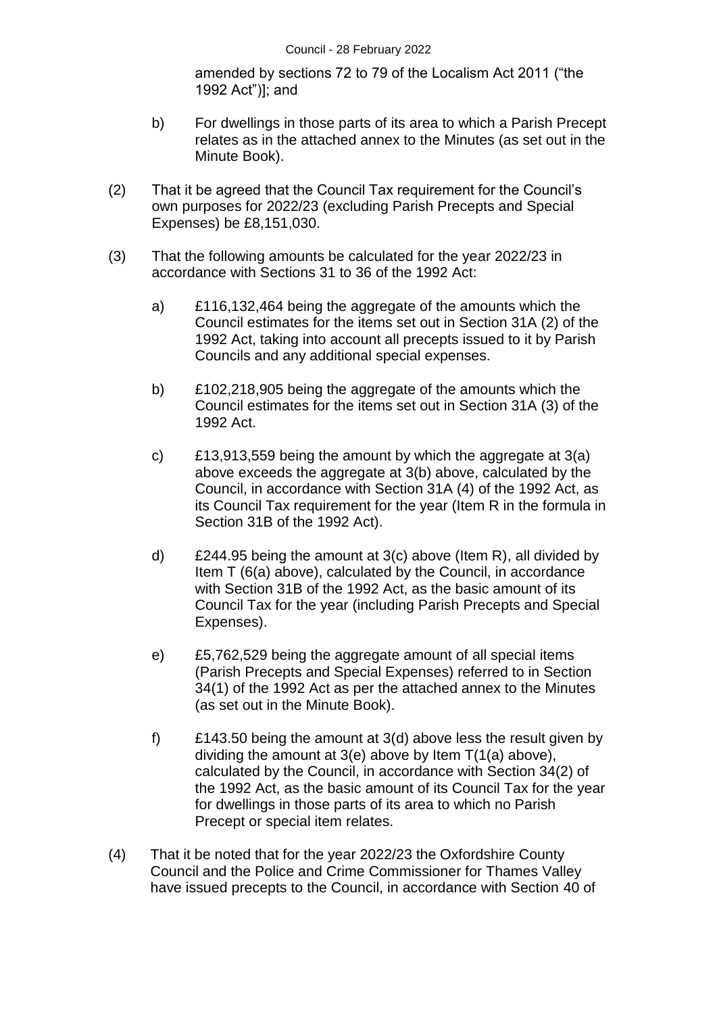amended by sections 72 to 79 of the Localism Act 2011 ("the 1992 Act")]; and

- b) For dwellings in those parts of its area to which a Parish Precept relates as in the attached annex to the Minutes (as set out in the Minute Book).
- (2) That it be agreed that the Council Tax requirement for the Council's own purposes for 2022/23 (excluding Parish Precepts and Special Expenses) be £8,151,030.
- (3) That the following amounts be calculated for the year 2022/23 in accordance with Sections 31 to 36 of the 1992 Act:
	- a) £116,132,464 being the aggregate of the amounts which the Council estimates for the items set out in Section 31A (2) of the 1992 Act, taking into account all precepts issued to it by Parish Councils and any additional special expenses.
	- b) £102,218,905 being the aggregate of the amounts which the Council estimates for the items set out in Section 31A (3) of the 1992 Act.
	- c) £13,913,559 being the amount by which the aggregate at 3(a) above exceeds the aggregate at 3(b) above, calculated by the Council, in accordance with Section 31A (4) of the 1992 Act, as its Council Tax requirement for the year (Item R in the formula in Section 31B of the 1992 Act).
	- d)  $£244.95$  being the amount at 3(c) above (Item R), all divided by Item T (6(a) above), calculated by the Council, in accordance with Section 31B of the 1992 Act, as the basic amount of its Council Tax for the year (including Parish Precepts and Special Expenses).
	- e) £5,762,529 being the aggregate amount of all special items (Parish Precepts and Special Expenses) referred to in Section 34(1) of the 1992 Act as per the attached annex to the Minutes (as set out in the Minute Book).
	- f) £143.50 being the amount at 3(d) above less the result given by dividing the amount at 3(e) above by Item T(1(a) above), calculated by the Council, in accordance with Section 34(2) of the 1992 Act, as the basic amount of its Council Tax for the year for dwellings in those parts of its area to which no Parish Precept or special item relates.
- (4) That it be noted that for the year 2022/23 the Oxfordshire County Council and the Police and Crime Commissioner for Thames Valley have issued precepts to the Council, in accordance with Section 40 of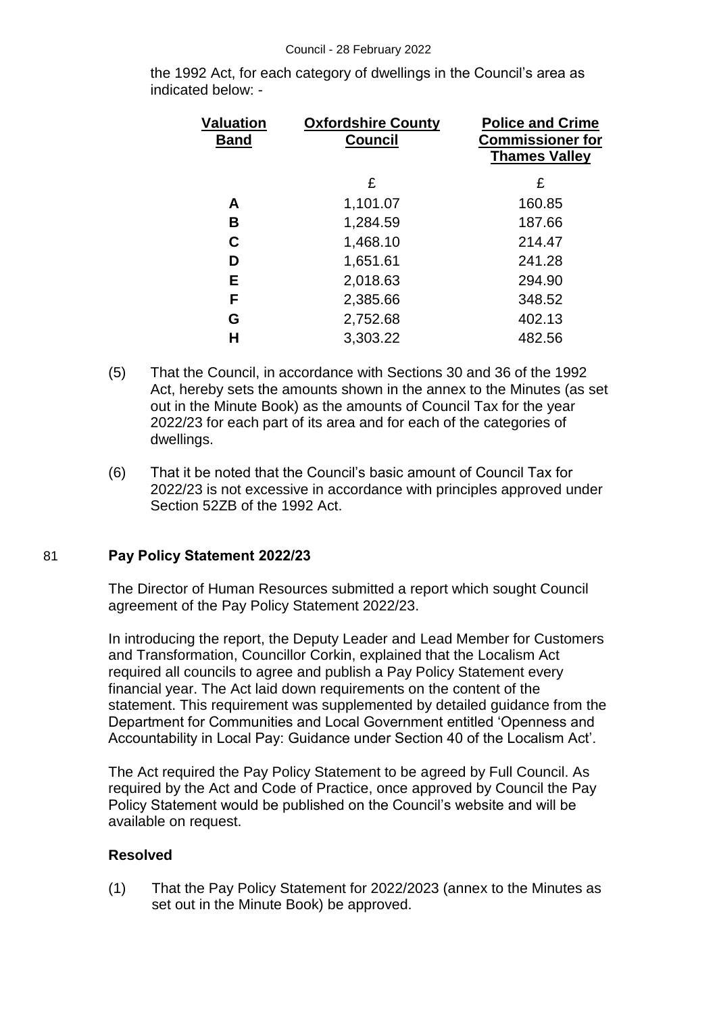the 1992 Act, for each category of dwellings in the Council's area as indicated below: -

| Valuation<br><b>Band</b> | <b>Oxfordshire County</b><br><b>Council</b> | <b>Police and Crime</b><br><b>Commissioner for</b><br><b>Thames Valley</b> |
|--------------------------|---------------------------------------------|----------------------------------------------------------------------------|
|                          | £                                           | £                                                                          |
| Α                        | 1,101.07                                    | 160.85                                                                     |
| В                        | 1,284.59                                    | 187.66                                                                     |
| C                        | 1,468.10                                    | 214.47                                                                     |
| D                        | 1,651.61                                    | 241.28                                                                     |
| E.                       | 2,018.63                                    | 294.90                                                                     |
| F                        | 2,385.66                                    | 348.52                                                                     |
| G                        | 2,752.68                                    | 402.13                                                                     |
| Н                        | 3,303.22                                    | 482.56                                                                     |

- (5) That the Council, in accordance with Sections 30 and 36 of the 1992 Act, hereby sets the amounts shown in the annex to the Minutes (as set out in the Minute Book) as the amounts of Council Tax for the year 2022/23 for each part of its area and for each of the categories of dwellings.
- (6) That it be noted that the Council's basic amount of Council Tax for 2022/23 is not excessive in accordance with principles approved under Section 52ZB of the 1992 Act.

## 81 **Pay Policy Statement 2022/23**

The Director of Human Resources submitted a report which sought Council agreement of the Pay Policy Statement 2022/23.

In introducing the report, the Deputy Leader and Lead Member for Customers and Transformation, Councillor Corkin, explained that the Localism Act required all councils to agree and publish a Pay Policy Statement every financial year. The Act laid down requirements on the content of the statement. This requirement was supplemented by detailed guidance from the Department for Communities and Local Government entitled 'Openness and Accountability in Local Pay: Guidance under Section 40 of the Localism Act'.

The Act required the Pay Policy Statement to be agreed by Full Council. As required by the Act and Code of Practice, once approved by Council the Pay Policy Statement would be published on the Council's website and will be available on request.

## **Resolved**

(1) That the Pay Policy Statement for 2022/2023 (annex to the Minutes as set out in the Minute Book) be approved.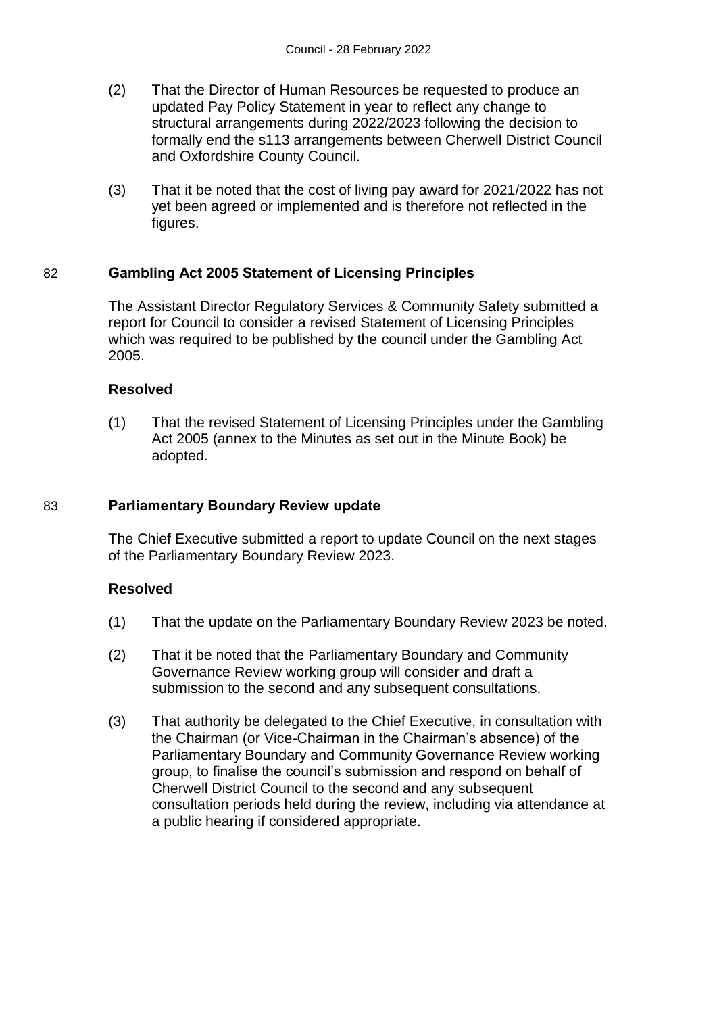- (2) That the Director of Human Resources be requested to produce an updated Pay Policy Statement in year to reflect any change to structural arrangements during 2022/2023 following the decision to formally end the s113 arrangements between Cherwell District Council and Oxfordshire County Council.
- (3) That it be noted that the cost of living pay award for 2021/2022 has not yet been agreed or implemented and is therefore not reflected in the figures.

#### 82 **Gambling Act 2005 Statement of Licensing Principles**

The Assistant Director Regulatory Services & Community Safety submitted a report for Council to consider a revised Statement of Licensing Principles which was required to be published by the council under the Gambling Act 2005.

#### **Resolved**

(1) That the revised Statement of Licensing Principles under the Gambling Act 2005 (annex to the Minutes as set out in the Minute Book) be adopted.

#### 83 **Parliamentary Boundary Review update**

The Chief Executive submitted a report to update Council on the next stages of the Parliamentary Boundary Review 2023.

- (1) That the update on the Parliamentary Boundary Review 2023 be noted.
- (2) That it be noted that the Parliamentary Boundary and Community Governance Review working group will consider and draft a submission to the second and any subsequent consultations.
- (3) That authority be delegated to the Chief Executive, in consultation with the Chairman (or Vice-Chairman in the Chairman's absence) of the Parliamentary Boundary and Community Governance Review working group, to finalise the council's submission and respond on behalf of Cherwell District Council to the second and any subsequent consultation periods held during the review, including via attendance at a public hearing if considered appropriate.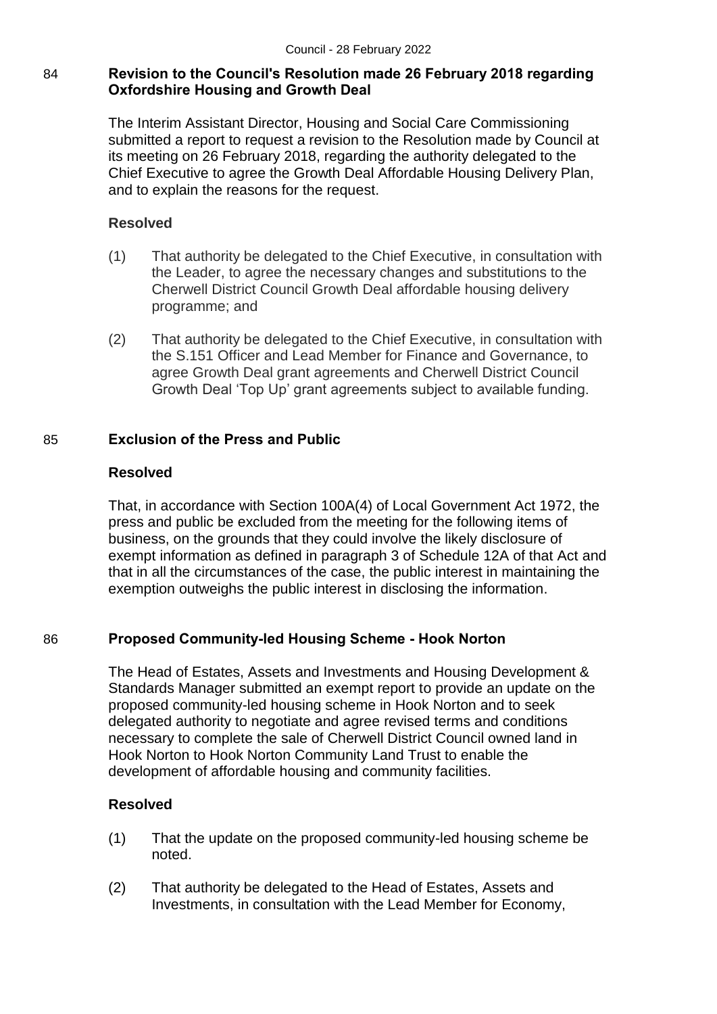# 84 **Revision to the Council's Resolution made 26 February 2018 regarding Oxfordshire Housing and Growth Deal**

The Interim Assistant Director, Housing and Social Care Commissioning submitted a report to request a revision to the Resolution made by Council at its meeting on 26 February 2018, regarding the authority delegated to the Chief Executive to agree the Growth Deal Affordable Housing Delivery Plan, and to explain the reasons for the request.

# **Resolved**

- (1) That authority be delegated to the Chief Executive, in consultation with the Leader, to agree the necessary changes and substitutions to the Cherwell District Council Growth Deal affordable housing delivery programme; and
- (2) That authority be delegated to the Chief Executive, in consultation with the S.151 Officer and Lead Member for Finance and Governance, to agree Growth Deal grant agreements and Cherwell District Council Growth Deal 'Top Up' grant agreements subject to available funding.

# 85 **Exclusion of the Press and Public**

# **Resolved**

That, in accordance with Section 100A(4) of Local Government Act 1972, the press and public be excluded from the meeting for the following items of business, on the grounds that they could involve the likely disclosure of exempt information as defined in paragraph 3 of Schedule 12A of that Act and that in all the circumstances of the case, the public interest in maintaining the exemption outweighs the public interest in disclosing the information.

# 86 **Proposed Community-led Housing Scheme - Hook Norton**

The Head of Estates, Assets and Investments and Housing Development & Standards Manager submitted an exempt report to provide an update on the proposed community-led housing scheme in Hook Norton and to seek delegated authority to negotiate and agree revised terms and conditions necessary to complete the sale of Cherwell District Council owned land in Hook Norton to Hook Norton Community Land Trust to enable the development of affordable housing and community facilities.

- (1) That the update on the proposed community-led housing scheme be noted.
- (2) That authority be delegated to the Head of Estates, Assets and Investments, in consultation with the Lead Member for Economy,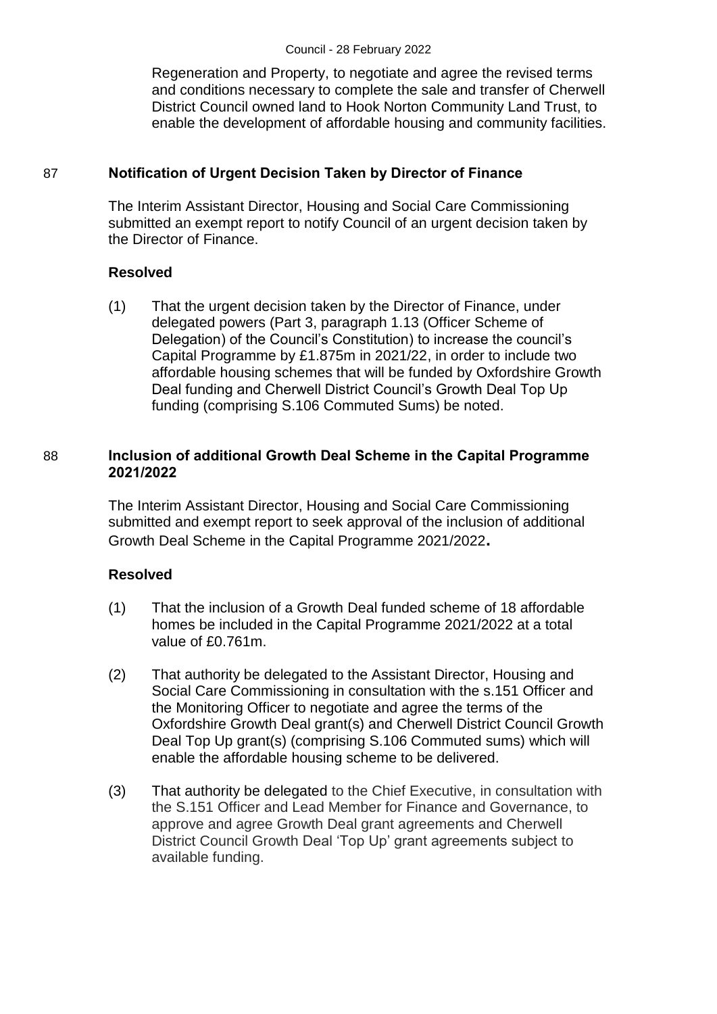Regeneration and Property, to negotiate and agree the revised terms and conditions necessary to complete the sale and transfer of Cherwell District Council owned land to Hook Norton Community Land Trust, to enable the development of affordable housing and community facilities.

# 87 **Notification of Urgent Decision Taken by Director of Finance**

The Interim Assistant Director, Housing and Social Care Commissioning submitted an exempt report to notify Council of an urgent decision taken by the Director of Finance.

# **Resolved**

(1) That the urgent decision taken by the Director of Finance, under delegated powers (Part 3, paragraph 1.13 (Officer Scheme of Delegation) of the Council's Constitution) to increase the council's Capital Programme by £1.875m in 2021/22, in order to include two affordable housing schemes that will be funded by Oxfordshire Growth Deal funding and Cherwell District Council's Growth Deal Top Up funding (comprising S.106 Commuted Sums) be noted.

# 88 **Inclusion of additional Growth Deal Scheme in the Capital Programme 2021/2022**

The Interim Assistant Director, Housing and Social Care Commissioning submitted and exempt report to seek approval of the inclusion of additional Growth Deal Scheme in the Capital Programme 2021/2022**.**

- (1) That the inclusion of a Growth Deal funded scheme of 18 affordable homes be included in the Capital Programme 2021/2022 at a total value of £0.761m.
- (2) That authority be delegated to the Assistant Director, Housing and Social Care Commissioning in consultation with the s.151 Officer and the Monitoring Officer to negotiate and agree the terms of the Oxfordshire Growth Deal grant(s) and Cherwell District Council Growth Deal Top Up grant(s) (comprising S.106 Commuted sums) which will enable the affordable housing scheme to be delivered.
- (3) That authority be delegated to the Chief Executive, in consultation with the S.151 Officer and Lead Member for Finance and Governance, to approve and agree Growth Deal grant agreements and Cherwell District Council Growth Deal 'Top Up' grant agreements subject to available funding.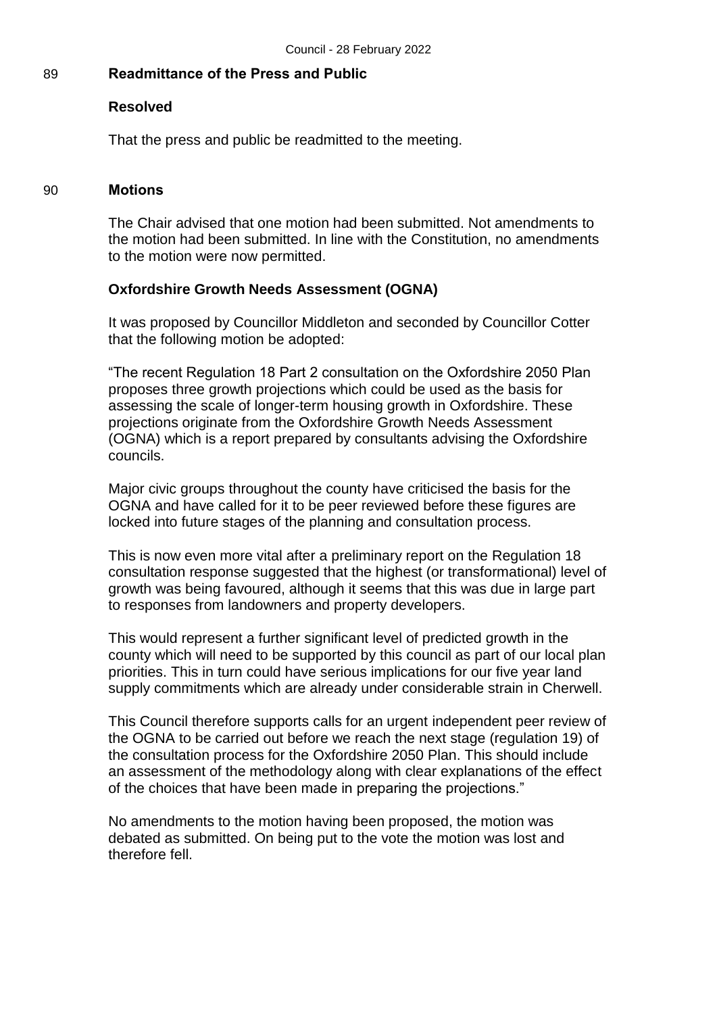## 89 **Readmittance of the Press and Public**

#### **Resolved**

That the press and public be readmitted to the meeting.

#### 90 **Motions**

The Chair advised that one motion had been submitted. Not amendments to the motion had been submitted. In line with the Constitution, no amendments to the motion were now permitted.

#### **Oxfordshire Growth Needs Assessment (OGNA)**

It was proposed by Councillor Middleton and seconded by Councillor Cotter that the following motion be adopted:

"The recent Regulation 18 Part 2 consultation on the Oxfordshire 2050 Plan proposes three growth projections which could be used as the basis for assessing the scale of longer-term housing growth in Oxfordshire. These projections originate from the Oxfordshire Growth Needs Assessment (OGNA) which is a report prepared by consultants advising the Oxfordshire councils.

Major civic groups throughout the county have criticised the basis for the OGNA and have called for it to be peer reviewed before these figures are locked into future stages of the planning and consultation process.

This is now even more vital after a preliminary report on the Regulation 18 consultation response suggested that the highest (or transformational) level of growth was being favoured, although it seems that this was due in large part to responses from landowners and property developers.

This would represent a further significant level of predicted growth in the county which will need to be supported by this council as part of our local plan priorities. This in turn could have serious implications for our five year land supply commitments which are already under considerable strain in Cherwell.

This Council therefore supports calls for an urgent independent peer review of the OGNA to be carried out before we reach the next stage (regulation 19) of the consultation process for the Oxfordshire 2050 Plan. This should include an assessment of the methodology along with clear explanations of the effect of the choices that have been made in preparing the projections."

No amendments to the motion having been proposed, the motion was debated as submitted. On being put to the vote the motion was lost and therefore fell.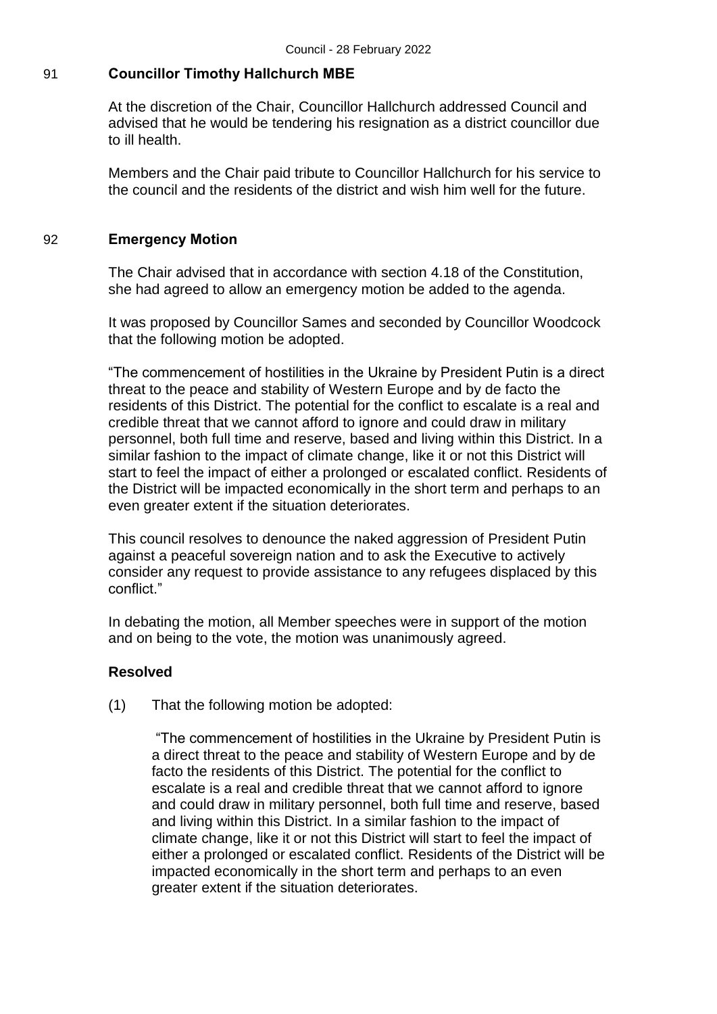## 91 **Councillor Timothy Hallchurch MBE**

At the discretion of the Chair, Councillor Hallchurch addressed Council and advised that he would be tendering his resignation as a district councillor due to ill health.

Members and the Chair paid tribute to Councillor Hallchurch for his service to the council and the residents of the district and wish him well for the future.

#### 92 **Emergency Motion**

The Chair advised that in accordance with section 4.18 of the Constitution, she had agreed to allow an emergency motion be added to the agenda.

It was proposed by Councillor Sames and seconded by Councillor Woodcock that the following motion be adopted.

"The commencement of hostilities in the Ukraine by President Putin is a direct threat to the peace and stability of Western Europe and by de facto the residents of this District. The potential for the conflict to escalate is a real and credible threat that we cannot afford to ignore and could draw in military personnel, both full time and reserve, based and living within this District. In a similar fashion to the impact of climate change, like it or not this District will start to feel the impact of either a prolonged or escalated conflict. Residents of the District will be impacted economically in the short term and perhaps to an even greater extent if the situation deteriorates.

This council resolves to denounce the naked aggression of President Putin against a peaceful sovereign nation and to ask the Executive to actively consider any request to provide assistance to any refugees displaced by this conflict."

In debating the motion, all Member speeches were in support of the motion and on being to the vote, the motion was unanimously agreed.

## **Resolved**

(1) That the following motion be adopted:

"The commencement of hostilities in the Ukraine by President Putin is a direct threat to the peace and stability of Western Europe and by de facto the residents of this District. The potential for the conflict to escalate is a real and credible threat that we cannot afford to ignore and could draw in military personnel, both full time and reserve, based and living within this District. In a similar fashion to the impact of climate change, like it or not this District will start to feel the impact of either a prolonged or escalated conflict. Residents of the District will be impacted economically in the short term and perhaps to an even greater extent if the situation deteriorates.